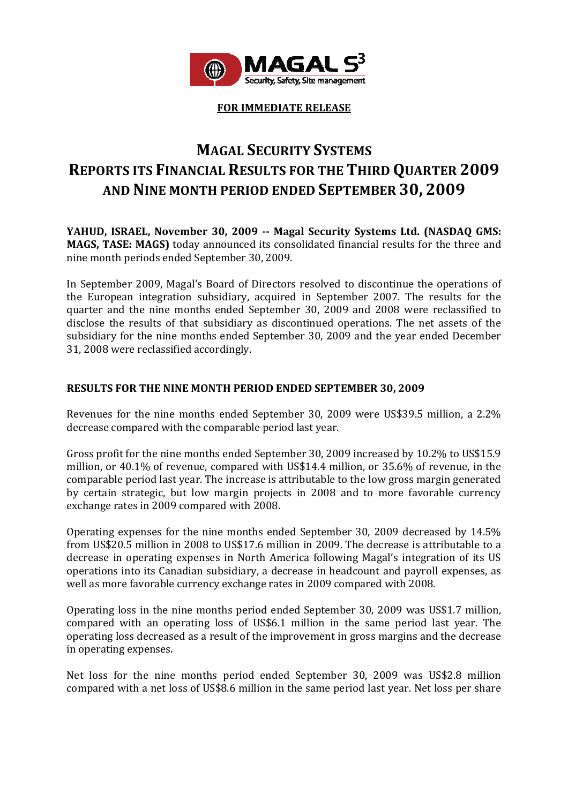

**FOR IMMEDIATE RELEASE**

# **MAGAL SECURITY SYSTEMS REPORTS ITS FINANCIAL RESULTS FOR THE THIRD QUARTER 2009 AND NINE MONTH PERIOD ENDED SEPTEMBER 30, 2009**

**YAHUD, ISRAEL, November 30, 2009 Magal Security Systems Ltd. (NASDAQ GMS: MAGS, TASE: MAGS)** today announced its consolidated financial results for the three and nine month periods ended September 30, 2009.

In September 2009, Magal's Board of Directors resolved to discontinue the operations of the European integration subsidiary, acquired in September 2007. The results for the quarter and the nine months ended September 30, 2009 and 2008 were reclassified to disclose the results of that subsidiary as discontinued operations. The net assets of the subsidiary for the nine months ended September 30, 2009 and the year ended December 31, 2008 were reclassified accordingly.

# **RESULTS FOR THE NINE MONTH PERIOD ENDED SEPTEMBER 30, 2009**

Revenues for the nine months ended September 30, 2009 were US\$39.5 million, a 2.2% decrease compared with the comparable period last year.

Gross profit for the nine months ended September 30, 2009 increased by 10.2% to US\$15.9 million, or 40.1% of revenue, compared with US\$14.4 million, or 35.6% of revenue, in the comparable period last year. The increase is attributable to the low gross margin generated by certain strategic, but low margin projects in 2008 and to more favorable currency exchange rates in 2009 compared with 2008.

Operating expenses for the nine months ended September 30, 2009 decreased by 14.5% from US\$20.5 million in 2008 to US\$17.6 million in 2009. The decrease is attributable to a decrease in operating expenses in North America following Magal's integration of its US operations into its Canadian subsidiary, a decrease in headcount and payroll expenses, as well as more favorable currency exchange rates in 2009 compared with 2008.

Operating loss in the nine months period ended September 30, 2009 was US\$1.7 million, compared with an operating loss of US\$6.1 million in the same period last year. The operating loss decreased as a result of the improvement in gross margins and the decrease in operating expenses.

Net loss for the nine months period ended September 30, 2009 was US\$2.8 million compared with a net loss of US\$8.6 million in the same period last year. Net loss per share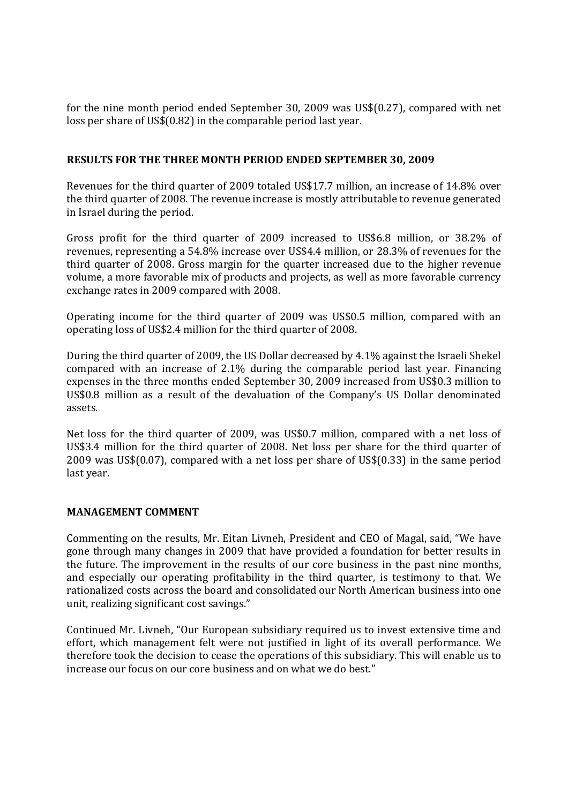for the nine month period ended September 30, 2009 was US\$(0.27), compared with net loss per share of US\$(0.82) in the comparable period last year.

# **RESULTS FOR THE THREE MONTH PERIOD ENDED SEPTEMBER 30, 2009**

Revenues for the third quarter of 2009 totaled US\$17.7 million, an increase of 14.8% over the third quarter of 2008. The revenue increase is mostly attributable to revenue generated in Israel during the period.

Gross profit for the third quarter of 2009 increased to US\$6.8 million, or 38.2% of revenues, representing a 54.8% increase over US\$4.4 million, or 28.3% of revenues for the third quarter of 2008. Gross margin for the quarter increased due to the higher revenue volume, a more favorable mix of products and projects, as well as more favorable currency exchange rates in 2009 compared with 2008.

Operating income for the third quarter of 2009 was US\$0.5 million, compared with an operating loss of US\$2.4 million for the third quarter of 2008.

During the third quarter of 2009, the US Dollar decreased by 4.1% against the Israeli Shekel compared with an increase of 2.1% during the comparable period last year. Financing expenses in the three months ended September 30, 2009 increased from US\$0.3 million to US\$0.8 million as a result of the devaluation of the Company's US Dollar denominated assets.

Net loss for the third quarter of 2009, was US\$0.7 million, compared with a net loss of US\$3.4 million for the third quarter of 2008. Net loss per share for the third quarter of 2009 was US\$(0.07), compared with a net loss per share of US\$(0.33) in the same period last year.

## **MANAGEMENT COMMENT**

Commenting on the results, Mr. Eitan Livneh, President and CEO of Magal, said, "We have gone through many changes in 2009 that have provided a foundation for better results in the future. The improvement in the results of our core business in the past nine months, and especially our operating profitability in the third quarter, is testimony to that. We rationalized costs across the board and consolidated our North American business into one unit, realizing significant cost savings."

Continued Mr. Livneh, "Our European subsidiary required us to invest extensive time and effort, which management felt were not justified in light of its overall performance. We therefore took the decision to cease the operations of this subsidiary. This will enable us to increase our focus on our core business and on what we do best."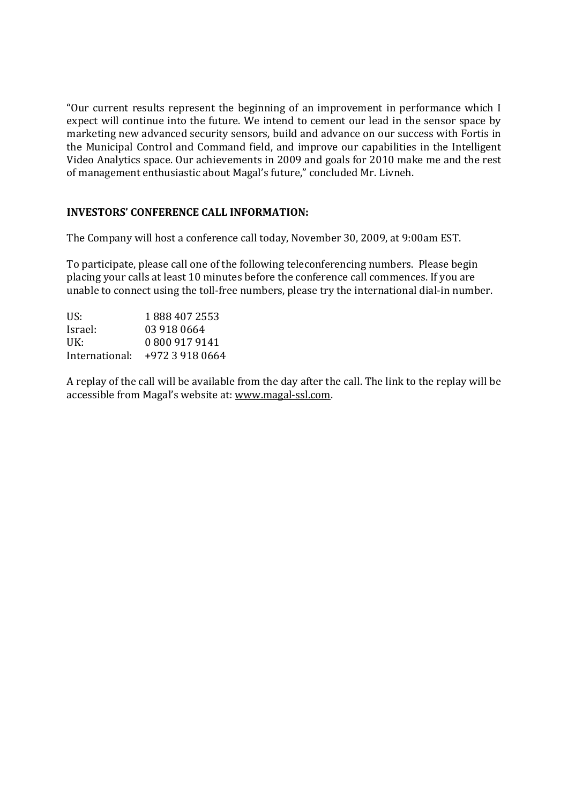"Our current results represent the beginning of an improvement in performance which I expect will continue into the future. We intend to cement our lead in the sensor space by marketing new advanced security sensors, build and advance on our success with Fortis in the Municipal Control and Command field, and improve our capabilities in the Intelligent Video Analytics space. Our achievements in 2009 and goals for 2010 make me and the rest of management enthusiastic about Magal's future," concluded Mr. Livneh.

# **INVESTORS' CONFERENCE CALL INFORMATION:**

The Company will host a conference call today, November 30, 2009, at 9:00am EST.

To participate, please call one of the following teleconferencing numbers. Please begin placing your calls at least 10 minutes before the conference call commences. If you are unable to connect using the toll-free numbers, please try the international dial-in number.

| US:            | 1888 407 2553   |
|----------------|-----------------|
| Israel:        | 03 918 0664     |
| UK:            | 0 800 917 9141  |
| International: | +972 3 918 0664 |

A replay of the call will be available from the day after the call. The link to the replay will be accessible from Magal's website at: www.magal‐ssl.com.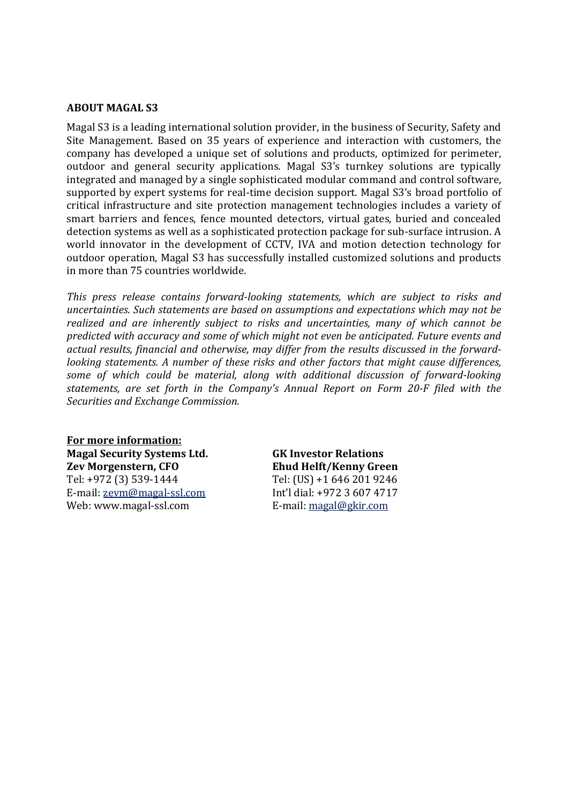## **ABOUT MAGAL S3**

Magal S3 is a leading international solution provider, in the business of Security, Safety and Site Management. Based on 35 years of experience and interaction with customers, the company has developed a unique set of solutions and products, optimized for perimeter, outdoor and general security applications. Magal S3's turnkey solutions are typically integrated and managed by a single sophisticated modular command and control software, supported by expert systems for real-time decision support. Magal S3's broad portfolio of critical infrastructure and site protection management technologies includes a variety of smart barriers and fences, fence mounted detectors, virtual gates, buried and concealed detection systems as well as a sophisticated protection package for sub-surface intrusion. A world innovator in the development of CCTV, IVA and motion detection technology for outdoor operation, Magal S3 has successfully installed customized solutions and products in more than 75 countries worldwide.

*This press release contains forwardlooking statements, which are subject to risks and uncertainties. Such statements are based on assumptions and expectations which may not be realized and are inherently subject to risks and uncertainties, many of which cannot be predicted with accuracy and some of which might not even be anticipated. Future events and actual results, financial and otherwise, may differ from the results discussed in the forwardlooking statements. A number of these risks and other factors that might cause differences, some of which could be material, along with additional discussion of forwardlooking statements, are set forth in the Company's Annual Report on Form 20F filed with the Securities and Exchange Commission.* 

**For more information: Magal Security Systems Ltd. Zev Morgenstern, CFO** Tel: +972 (3) 539‐1444 E‐mail: zevm@magal‐ssl.com Web: www.magal‐ssl.com

**GK Investor Relations Ehud Helft/Kenny Green** Tel: (US) +1 646 201 9246 Int'l dial: +972 3 607 4717 E‐mail: magal@gkir.com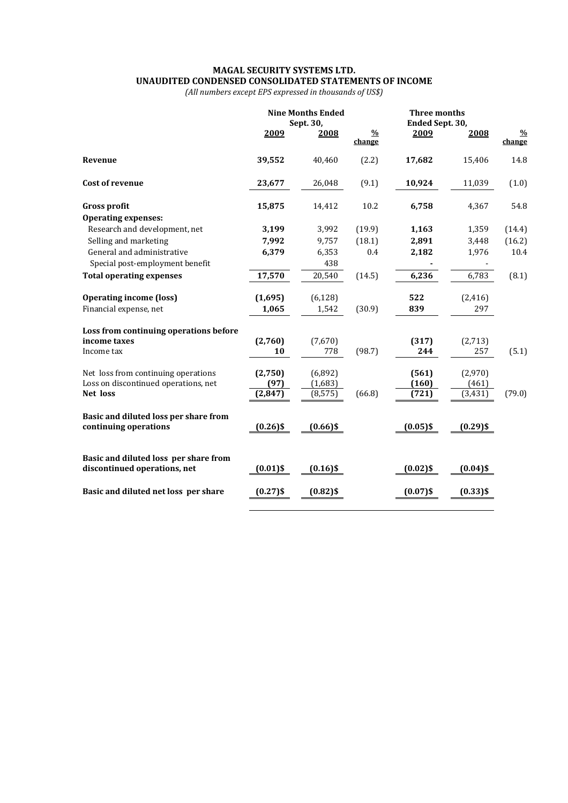### **MAGAL SECURITY SYSTEMS LTD. UNAUDITED CONDENSED CONSOLIDATED STATEMENTS OF INCOME**

*(All numbers except EPS expressed in thousands of US\$)*

|                                        |             | <b>Nine Months Ended</b><br>Sept. 30, | <b>Three months</b><br>Ended Sept. 30, |             |             |                         |
|----------------------------------------|-------------|---------------------------------------|----------------------------------------|-------------|-------------|-------------------------|
|                                        | 2009        | 2008                                  | $\frac{0}{0}$<br>change                | 2009        | 2008        | $\frac{0}{0}$<br>change |
| Revenue                                | 39,552      | 40,460                                | (2.2)                                  | 17,682      | 15,406      | 14.8                    |
| <b>Cost of revenue</b>                 | 23,677      | 26,048                                | (9.1)                                  | 10,924      | 11,039      | (1.0)                   |
| <b>Gross profit</b>                    | 15,875      | 14,412                                | 10.2                                   | 6,758       | 4,367       | 54.8                    |
| <b>Operating expenses:</b>             |             |                                       |                                        |             |             |                         |
| Research and development, net          | 3,199       | 3,992                                 | (19.9)                                 | 1,163       | 1,359       | (14.4)                  |
| Selling and marketing                  | 7,992       | 9,757                                 | (18.1)                                 | 2,891       | 3,448       | (16.2)                  |
| General and administrative             | 6,379       | 6,353                                 | 0.4                                    | 2,182       | 1,976       | 10.4                    |
| Special post-employment benefit        |             | 438                                   |                                        |             |             |                         |
| <b>Total operating expenses</b>        | 17,570      | 20,540                                | (14.5)                                 | 6,236       | 6,783       | (8.1)                   |
| <b>Operating income (loss)</b>         | (1,695)     | (6, 128)                              |                                        | 522         | (2, 416)    |                         |
| Financial expense, net                 | 1,065       | 1,542                                 | (30.9)                                 | 839         | 297         |                         |
| Loss from continuing operations before |             |                                       |                                        |             |             |                         |
| income taxes                           | (2,760)     | (7,670)                               |                                        | (317)       | (2,713)     |                         |
| Income tax                             | 10          | 778                                   | (98.7)                                 | 244         | 257         | (5.1)                   |
| Net loss from continuing operations    | (2,750)     | (6,892)                               |                                        | (561)       | (2,970)     |                         |
| Loss on discontinued operations, net   | (97)        | (1,683)                               |                                        | (160)       | (461)       |                         |
| Net loss                               | (2, 847)    | (8, 575)                              | (66.8)                                 | (721)       | (3, 431)    | (79.0)                  |
| Basic and diluted loss per share from  |             |                                       |                                        |             |             |                         |
| continuing operations                  | $(0.26)$ \$ | $(0.66)$ \$                           |                                        | $(0.05)$ \$ | $(0.29)$ \$ |                         |
| Basic and diluted loss per share from  |             |                                       |                                        |             |             |                         |
| discontinued operations, net           | $(0.01)$ \$ | $(0.16)$ \$                           |                                        | $(0.02)$ \$ | $(0.04)$ \$ |                         |
| Basic and diluted net loss per share   | $(0.27)$ \$ | $(0.82)$ \$                           |                                        | $(0.07)$ \$ | $(0.33)$ \$ |                         |
|                                        |             |                                       |                                        |             |             |                         |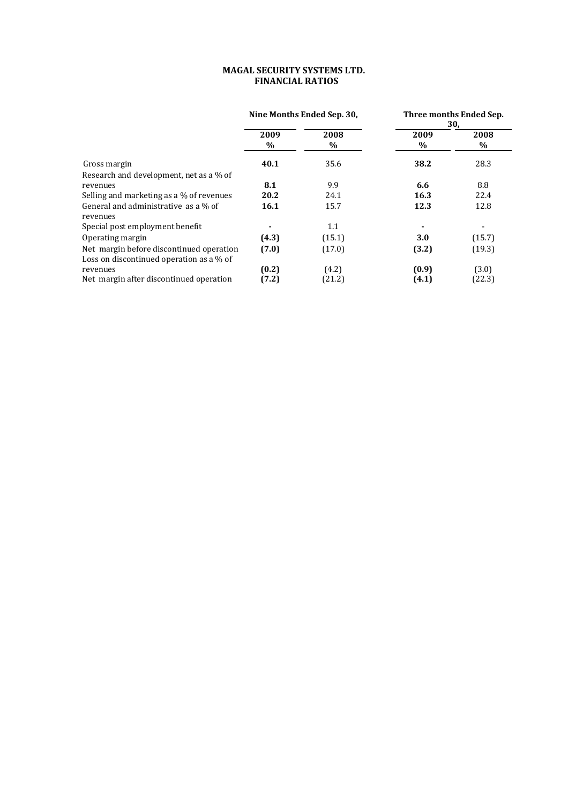### **MAGAL SECURITY SYSTEMS LTD. FINANCIAL RATIOS**

|                                                  | Nine Months Ended Sep. 30, |           | Three months Ended Sep.<br>30, |           |  |
|--------------------------------------------------|----------------------------|-----------|--------------------------------|-----------|--|
|                                                  | 2009<br>$\%$               | 2008<br>% | 2009<br>$\%$                   | 2008<br>% |  |
| Gross margin                                     | 40.1                       | 35.6      | 38.2                           | 28.3      |  |
| Research and development, net as a % of          |                            |           |                                |           |  |
| revenues                                         | 8.1                        | 9.9       | 6.6                            | 8.8       |  |
| Selling and marketing as a % of revenues         | 20.2                       | 24.1      | 16.3                           | 22.4      |  |
| General and administrative as a % of<br>revenues | 16.1                       | 15.7      | 12.3                           | 12.8      |  |
| Special post employment benefit                  |                            | 1.1       |                                |           |  |
| Operating margin                                 | (4.3)                      | (15.1)    | 3.0                            | (15.7)    |  |
| Net margin before discontinued operation         | (7.0)                      | (17.0)    | (3.2)                          | (19.3)    |  |
| Loss on discontinued operation as a % of         |                            |           |                                |           |  |
| revenues                                         | (0.2)                      | (4.2)     | (0.9)                          | (3.0)     |  |
| Net margin after discontinued operation          | (7.2)                      | (21.2)    | (4.1)                          | (22.3)    |  |